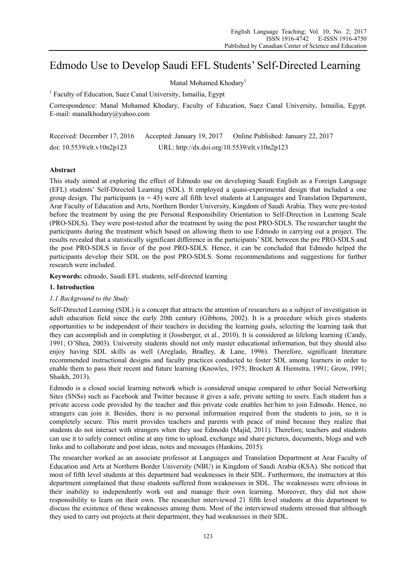# Edmodo Use to Develop Saudi EFL Students' Self-Directed Learning

Manal Mohamed Khodary<sup>1</sup>

<sup>1</sup> Faculty of Education, Suez Canal University, Ismailia, Egypt

Correspondence: Manal Mohamed Khodary, Faculty of Education, Suez Canal University, Ismailia, Egypt. E-mail: manalkhodary@yahoo.com

Received: December 17, 2016 Accepted: January 19, 2017 Online Published: January 22, 2017 doi: 10.5539/elt.v10n2p123 URL: http://dx.doi.org/10.5539/elt.v10n2p123

# **Abstract**

This study aimed at exploring the effect of Edmodo use on developing Saudi English as a Foreign Language (EFL) students' Self-Directed Learning (SDL). It employed a quasi-experimental design that included a one group design. The participants  $(n = 45)$  were all fifth level students at Languages and Translation Department, Arar Faculty of Education and Arts, Northern Border University, Kingdom of Saudi Arabia. They were pre-tested before the treatment by using the pre Personal Responsibility Orientation to Self-Direction in Learning Scale (PRO-SDLS). They were post-tested after the treatment by using the post PRO-SDLS. The researcher taught the participants during the treatment which based on allowing them to use Edmodo in carrying out a project. The results revealed that a statistically significant difference in the participants' SDL between the pre PRO-SDLS and the post PRO-SDLS in favor of the post PRO-SDLS. Hence, it can be concluded that Edmodo helped the participants develop their SDL on the post PRO-SDLS. Some recommendations and suggestions for further research were included.

**Keywords:** edmodo, Saudi EFL students, self-directed learning

# **1. Introduction**

# *1.1 Background to the Study*

Self-Directed Learning (SDL) is a concept that attracts the attention of researchers as a subject of investigation in adult education field since the early 20th century (Gibbons, 2002). It is a procedure which gives students opportunities to be independent of their teachers in deciding the learning goals, selecting the learning task that they can accomplish and in completing it (Jossberger, et al., 2010). It is considered as lifelong learning (Candy, 1991; O'Shea, 2003). University students should not only master educational information, but they should also enjoy having SDL skills as well (Areglado, Bradley, & Lane, 1996). Therefore, significant literature recommended instructional designs and faculty practices conducted to foster SDL among learners in order to enable them to pass their recent and future learning (Knowles, 1975; Brockett & Hiemstra, 1991; Grow, 1991; Shaikh, 2013).

Edmodo is a closed social learning network which is considered unique compared to other Social Networking Sites (SNSs) such as Facebook and Twitter because it gives a safe, private setting to users. Each student has a private access code provided by the teacher and this private code enables her/him to join Edmodo. Hence, no strangers can join it. Besides, there is no personal information required from the students to join, so it is completely secure. This merit provides teachers and parents with peace of mind because they realize that students do not interact with strangers when they use Edmodo (Majid, 2011). Therefore, teachers and students can use it to safely connect online at any time to upload, exchange and share pictures, documents, blogs and web links and to collaborate and post ideas, notes and messages (Hankins, 2015).

The researcher worked as an associate professor at Languages and Translation Department at Arar Faculty of Education and Arts at Northern Border University (NBU) in Kingdom of Saudi Arabia (KSA). She noticed that most of fifth level students at this department had weaknesses in their SDL. Furthermore, the instructors at this department complained that these students suffered from weaknesses in SDL. The weaknesses were obvious in their inability to independently work out and manage their own learning. Moreover, they did not show responsibility to learn on their own. The researcher interviewed 21 fifth level students at this department to discuss the existence of these weaknesses among them. Most of the interviewed students stressed that although they used to carry out projects at their department, they had weaknesses in their SDL.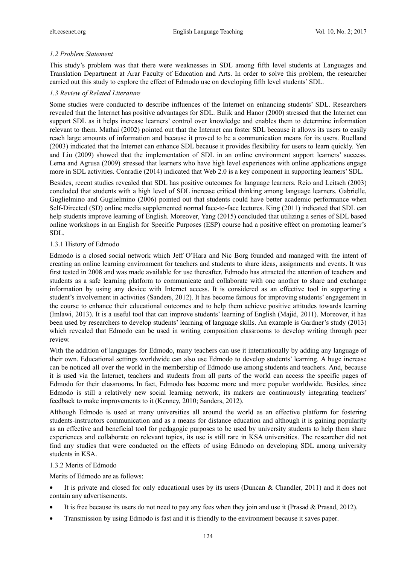# *1.2 Problem Statement*

This study's problem was that there were weaknesses in SDL among fifth level students at Languages and Translation Department at Arar Faculty of Education and Arts. In order to solve this problem, the researcher carried out this study to explore the effect of Edmodo use on developing fifth level students' SDL.

# *1.3 Review of Related Literature*

Some studies were conducted to describe influences of the Internet on enhancing students' SDL. Researchers revealed that the Internet has positive advantages for SDL. Bulik and Hanor (2000) stressed that the Internet can support SDL as it helps increase learners' control over knowledge and enables them to determine information relevant to them. Mathai (2002) pointed out that the Internet can foster SDL because it allows its users to easily reach large amounts of information and because it proved to be a communication means for its users. Ruelland (2003) indicated that the Internet can enhance SDL because it provides flexibility for users to learn quickly. Yen and Liu (2009) showed that the implementation of SDL in an online environment support learners' success. Lema and Agrusa (2009) stressed that learners who have high level experiences with online applications engage more in SDL activities. Conradie (2014) indicated that Web 2.0 is a key component in supporting learners' SDL.

Besides, recent studies revealed that SDL has positive outcomes for language learners. Reio and Leitsch (2003) concluded that students with a high level of SDL increase critical thinking among language learners. Gabrielle, Guglielmino and Guglielmino (2006) pointed out that students could have better academic performance when Self-Directed (SD) online media supplemented normal face-to-face lectures. King (2011) indicated that SDL can help students improve learning of English. Moreover, Yang (2015) concluded that utilizing a series of SDL based online workshops in an English for Specific Purposes (ESP) course had a positive effect on promoting learner's SDL.

# 1.3.1 History of Edmodo

Edmodo is a closed social network which Jeff O'Hara and Nic Borg founded and managed with the intent of creating an online learning environment for teachers and students to share ideas, assignments and events. It was first tested in 2008 and was made available for use thereafter. Edmodo has attracted the attention of teachers and students as a safe learning platform to communicate and collaborate with one another to share and exchange information by using any device with Internet access. It is considered as an effective tool in supporting a student's involvement in activities (Sanders, 2012). It has become famous for improving students' engagement in the course to enhance their educational outcomes and to help them achieve positive attitudes towards learning (Imlawi, 2013). It is a useful tool that can improve students' learning of English (Majid, 2011). Moreover, it has been used by researchers to develop students' learning of language skills. An example is Gardner's study (2013) which revealed that Edmodo can be used in writing composition classrooms to develop writing through peer review.

With the addition of languages for Edmodo, many teachers can use it internationally by adding any language of their own. Educational settings worldwide can also use Edmodo to develop students' learning. A huge increase can be noticed all over the world in the membership of Edmodo use among students and teachers. And, because it is used via the Internet, teachers and students from all parts of the world can access the specific pages of Edmodo for their classrooms. In fact, Edmodo has become more and more popular worldwide. Besides, since Edmodo is still a relatively new social learning network, its makers are continuously integrating teachers' feedback to make improvements to it (Kenney, 2010; Sanders, 2012).

Although Edmodo is used at many universities all around the world as an effective platform for fostering students-instructors communication and as a means for distance education and although it is gaining popularity as an effective and beneficial tool for pedagogic purposes to be used by university students to help them share experiences and collaborate on relevant topics, its use is still rare in KSA universities. The researcher did not find any studies that were conducted on the effects of using Edmodo on developing SDL among university students in KSA.

# 1.3.2 Merits of Edmodo

Merits of Edmodo are as follows:

- It is private and closed for only educational uses by its users (Duncan & Chandler, 2011) and it does not contain any advertisements.
- It is free because its users do not need to pay any fees when they join and use it (Prasad & Prasad, 2012).
- Transmission by using Edmodo is fast and it is friendly to the environment because it saves paper.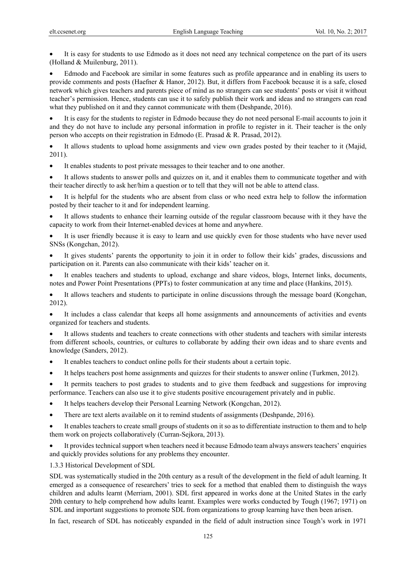It is easy for students to use Edmodo as it does not need any technical competence on the part of its users (Holland & Muilenburg, 2011).

 Edmodo and Facebook are similar in some features such as profile appearance and in enabling its users to provide comments and posts (Haefner & Hanor, 2012). But, it differs from Facebook because it is a safe, closed network which gives teachers and parents piece of mind as no strangers can see students' posts or visit it without teacher's permission. Hence, students can use it to safely publish their work and ideas and no strangers can read what they published on it and they cannot communicate with them (Deshpande, 2016).

 It is easy for the students to register in Edmodo because they do not need personal E-mail accounts to join it and they do not have to include any personal information in profile to register in it. Their teacher is the only person who accepts on their registration in Edmodo (E. Prasad  $\&$  R. Prasad, 2012).

 It allows students to upload home assignments and view own grades posted by their teacher to it (Majid, 2011).

It enables students to post private messages to their teacher and to one another.

 It allows students to answer polls and quizzes on it, and it enables them to communicate together and with their teacher directly to ask her/him a question or to tell that they will not be able to attend class.

 It is helpful for the students who are absent from class or who need extra help to follow the information posted by their teacher to it and for independent learning.

 It allows students to enhance their learning outside of the regular classroom because with it they have the capacity to work from their Internet-enabled devices at home and anywhere.

 It is user friendly because it is easy to learn and use quickly even for those students who have never used SNSs (Kongchan, 2012).

 It gives students' parents the opportunity to join it in order to follow their kids' grades, discussions and participation on it. Parents can also communicate with their kids' teacher on it.

 It enables teachers and students to upload, exchange and share videos, blogs, Internet links, documents, notes and Power Point Presentations (PPTs) to foster communication at any time and place (Hankins, 2015).

 It allows teachers and students to participate in online discussions through the message board (Kongchan, 2012).

 It includes a class calendar that keeps all home assignments and announcements of activities and events organized for teachers and students.

 It allows students and teachers to create connections with other students and teachers with similar interests from different schools, countries, or cultures to collaborate by adding their own ideas and to share events and knowledge (Sanders, 2012).

It enables teachers to conduct online polls for their students about a certain topic.

It helps teachers post home assignments and quizzes for their students to answer online (Turkmen, 2012).

 It permits teachers to post grades to students and to give them feedback and suggestions for improving performance. Teachers can also use it to give students positive encouragement privately and in public.

- It helps teachers develop their Personal Learning Network (Kongchan, 2012).
- There are text alerts available on it to remind students of assignments (Deshpande, 2016).

 It enables teachers to create small groups of students on it so as to differentiate instruction to them and to help them work on projects collaboratively (Curran-Sejkora, 2013).

 It provides technical support when teachers need it because Edmodo team always answers teachers' enquiries and quickly provides solutions for any problems they encounter.

1.3.3 Historical Development of SDL

SDL was systematically studied in the 20th century as a result of the development in the field of adult learning. It emerged as a consequence of researchers' tries to seek for a method that enabled them to distinguish the ways children and adults learnt (Merriam, 2001). SDL first appeared in works done at the United States in the early 20th century to help comprehend how adults learnt. Examples were works conducted by Tough (1967; 1971) on SDL and important suggestions to promote SDL from organizations to group learning have then been arisen.

In fact, research of SDL has noticeably expanded in the field of adult instruction since Tough's work in 1971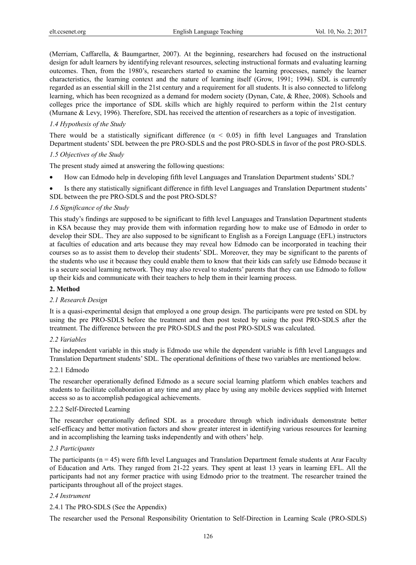(Merriam, Caffarella, & Baumgartner, 2007). At the beginning, researchers had focused on the instructional design for adult learners by identifying relevant resources, selecting instructional formats and evaluating learning outcomes. Then, from the 1980's, researchers started to examine the learning processes, namely the learner characteristics, the learning context and the nature of learning itself (Grow, 1991; 1994). SDL is currently regarded as an essential skill in the 21st century and a requirement for all students. It is also connected to lifelong learning, which has been recognized as a demand for modern society (Dynan, Cate, & Rhee, 2008). Schools and colleges price the importance of SDL skills which are highly required to perform within the 21st century (Murnane & Levy, 1996). Therefore, SDL has received the attention of researchers as a topic of investigation.

# *1.4 Hypothesis of the Study*

There would be a statistically significant difference ( $\alpha$  < 0.05) in fifth level Languages and Translation Department students' SDL between the pre PRO-SDLS and the post PRO-SDLS in favor of the post PRO-SDLS.

# *1.5 Objectives of the Study*

The present study aimed at answering the following questions:

- How can Edmodo help in developing fifth level Languages and Translation Department students' SDL?
- Is there any statistically significant difference in fifth level Languages and Translation Department students' SDL between the pre PRO-SDLS and the post PRO-SDLS?

### *1.6 Significance of the Study*

This study's findings are supposed to be significant to fifth level Languages and Translation Department students in KSA because they may provide them with information regarding how to make use of Edmodo in order to develop their SDL. They are also supposed to be significant to English as a Foreign Language (EFL) instructors at faculties of education and arts because they may reveal how Edmodo can be incorporated in teaching their courses so as to assist them to develop their students' SDL. Moreover, they may be significant to the parents of the students who use it because they could enable them to know that their kids can safely use Edmodo because it is a secure social learning network. They may also reveal to students' parents that they can use Edmodo to follow up their kids and communicate with their teachers to help them in their learning process.

### **2. Method**

### *2.1 Research Design*

It is a quasi-experimental design that employed a one group design. The participants were pre tested on SDL by using the pre PRO-SDLS before the treatment and then post tested by using the post PRO-SDLS after the treatment. The difference between the pre PRO-SDLS and the post PRO-SDLS was calculated.

### *2.2 Variables*

The independent variable in this study is Edmodo use while the dependent variable is fifth level Languages and Translation Department students' SDL. The operational definitions of these two variables are mentioned below.

### 2.2.1 Edmodo

The researcher operationally defined Edmodo as a secure social learning platform which enables teachers and students to facilitate collaboration at any time and any place by using any mobile devices supplied with Internet access so as to accomplish pedagogical achievements.

### 2.2.2 Self-Directed Learning

The researcher operationally defined SDL as a procedure through which individuals demonstrate better self-efficacy and better motivation factors and show greater interest in identifying various resources for learning and in accomplishing the learning tasks independently and with others' help.

### *2.3 Participants*

The participants (n = 45) were fifth level Languages and Translation Department female students at Arar Faculty of Education and Arts. They ranged from 21-22 years. They spent at least 13 years in learning EFL. All the participants had not any former practice with using Edmodo prior to the treatment. The researcher trained the participants throughout all of the project stages.

### *2.4 Instrument*

# 2.4.1 The PRO-SDLS (See the Appendix)

The researcher used the Personal Responsibility Orientation to Self-Direction in Learning Scale (PRO-SDLS)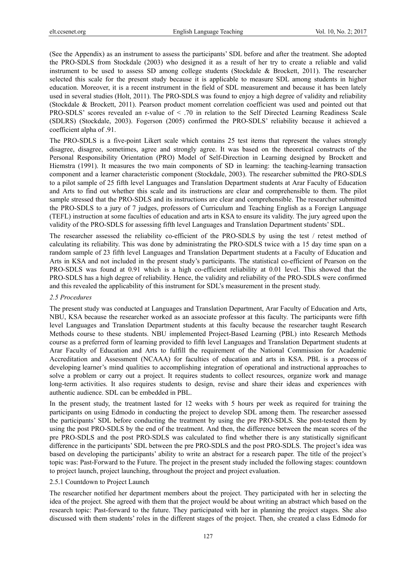(See the Appendix) as an instrument to assess the participants' SDL before and after the treatment. She adopted the PRO-SDLS from Stockdale (2003) who designed it as a result of her try to create a reliable and valid instrument to be used to assess SD among college students (Stockdale & Brockett, 2011). The researcher selected this scale for the present study because it is applicable to measure SDL among students in higher education. Moreover, it is a recent instrument in the field of SDL measurement and because it has been lately used in several studies (Holt, 2011). The PRO-SDLS was found to enjoy a high degree of validity and reliability (Stockdale & Brockett, 2011). Pearson product moment correlation coefficient was used and pointed out that PRO-SDLS' scores revealed an r-value of < .70 in relation to the Self Directed Learning Readiness Scale (SDLRS) (Stockdale, 2003). Fogerson (2005) confirmed the PRO-SDLS' reliability because it achieved a coefficient alpha of .91.

The PRO-SDLS is a five-point Likert scale which contains 25 test items that represent the values strongly disagree, disagree, sometimes, agree and strongly agree. It was based on the theoretical constructs of the Personal Responsibility Orientation (PRO) Model of Self-Direction in Learning designed by Brockett and Hiemstra (1991). It measures the two main components of SD in learning: the teaching-learning transaction component and a learner characteristic component (Stockdale, 2003). The researcher submitted the PRO-SDLS to a pilot sample of 25 fifth level Languages and Translation Department students at Arar Faculty of Education and Arts to find out whether this scale and its instructions are clear and comprehensible to them. The pilot sample stressed that the PRO-SDLS and its instructions are clear and comprehensible. The researcher submitted the PRO-SDLS to a jury of 7 judges, professors of Curriculum and Teaching English as a Foreign Language (TEFL) instruction at some faculties of education and arts in KSA to ensure its validity. The jury agreed upon the validity of the PRO-SDLS for assessing fifth level Languages and Translation Department students' SDL.

The researcher assessed the reliability co-efficient of the PRO-SDLS by using the test / retest method of calculating its reliability. This was done by administrating the PRO-SDLS twice with a 15 day time span on a random sample of 23 fifth level Languages and Translation Department students at a Faculty of Education and Arts in KSA and not included in the present study's participants. The statistical co-efficient of Pearson on the PRO-SDLS was found at 0.91 which is a high co-efficient reliability at 0.01 level. This showed that the PRO-SDLS has a high degree of reliability. Hence, the validity and reliability of the PRO-SDLS were confirmed and this revealed the applicability of this instrument for SDL's measurement in the present study.

#### *2.5 Procedures*

The present study was conducted at Languages and Translation Department, Arar Faculty of Education and Arts, NBU, KSA because the researcher worked as an associate professor at this faculty. The participants were fifth level Languages and Translation Department students at this faculty because the researcher taught Research Methods course to these students. NBU implemented Project-Based Learning (PBL) into Research Methods course as a preferred form of learning provided to fifth level Languages and Translation Department students at Arar Faculty of Education and Arts to fulfill the requirement of the National Commission for Academic Accreditation and Assessment (NCAAA) for faculties of education and arts in KSA. PBL is a process of developing learner's mind qualities to accomplishing integration of operational and instructional approaches to solve a problem or carry out a project. It requires students to collect resources, organize work and manage long-term activities. It also requires students to design, revise and share their ideas and experiences with authentic audience. SDL can be embedded in PBL.

In the present study, the treatment lasted for 12 weeks with 5 hours per week as required for training the participants on using Edmodo in conducting the project to develop SDL among them. The researcher assessed the participants' SDL before conducting the treatment by using the pre PRO-SDLS. She post-tested them by using the post PRO-SDLS by the end of the treatment. And then, the difference between the mean scores of the pre PRO-SDLS and the post PRO-SDLS was calculated to find whether there is any statistically significant difference in the participants' SDL between the pre PRO-SDLS and the post PRO-SDLS. The project's idea was based on developing the participants' ability to write an abstract for a research paper. The title of the project's topic was: Past-Forward to the Future. The project in the present study included the following stages: countdown to project launch, project launching, throughout the project and project evaluation.

### 2.5.1 Countdown to Project Launch

The researcher notified her department members about the project. They participated with her in selecting the idea of the project. She agreed with them that the project would be about writing an abstract which based on the research topic: Past-forward to the future. They participated with her in planning the project stages. She also discussed with them students' roles in the different stages of the project. Then, she created a class Edmodo for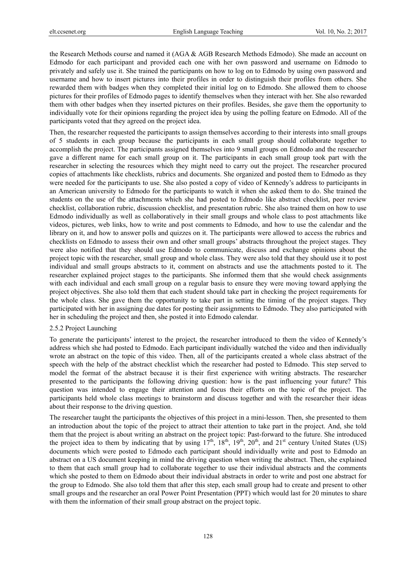the Research Methods course and named it (AGA & AGB Research Methods Edmodo). She made an account on Edmodo for each participant and provided each one with her own password and username on Edmodo to privately and safely use it. She trained the participants on how to log on to Edmodo by using own password and username and how to insert pictures into their profiles in order to distinguish their profiles from others. She rewarded them with badges when they completed their initial log on to Edmodo. She allowed them to choose pictures for their profiles of Edmodo pages to identify themselves when they interact with her. She also rewarded them with other badges when they inserted pictures on their profiles. Besides, she gave them the opportunity to individually vote for their opinions regarding the project idea by using the polling feature on Edmodo. All of the participants voted that they agreed on the project idea.

Then, the researcher requested the participants to assign themselves according to their interests into small groups of 5 students in each group because the participants in each small group should collaborate together to accomplish the project. The participants assigned themselves into 9 small groups on Edmodo and the researcher gave a different name for each small group on it. The participants in each small group took part with the researcher in selecting the resources which they might need to carry out the project. The researcher procured copies of attachments like checklists, rubrics and documents. She organized and posted them to Edmodo as they were needed for the participants to use. She also posted a copy of video of Kennedy's address to participants in an American university to Edmodo for the participants to watch it when she asked them to do. She trained the students on the use of the attachments which she had posted to Edmodo like abstract checklist, peer review checklist, collaboration rubric, discussion checklist, and presentation rubric. She also trained them on how to use Edmodo individually as well as collaboratively in their small groups and whole class to post attachments like videos, pictures, web links, how to write and post comments to Edmodo, and how to use the calendar and the library on it, and how to answer polls and quizzes on it. The participants were allowed to access the rubrics and checklists on Edmodo to assess their own and other small groups' abstracts throughout the project stages. They were also notified that they should use Edmodo to communicate, discuss and exchange opinions about the project topic with the researcher, small group and whole class. They were also told that they should use it to post individual and small groups abstracts to it, comment on abstracts and use the attachments posted to it. The researcher explained project stages to the participants. She informed them that she would check assignments with each individual and each small group on a regular basis to ensure they were moving toward applying the project objectives. She also told them that each student should take part in checking the project requirements for the whole class. She gave them the opportunity to take part in setting the timing of the project stages. They participated with her in assigning due dates for posting their assignments to Edmodo. They also participated with her in scheduling the project and then, she posted it into Edmodo calendar.

### 2.5.2 Project Launching

To generate the participants' interest to the project, the researcher introduced to them the video of Kennedy's address which she had posted to Edmodo. Each participant individually watched the video and then individually wrote an abstract on the topic of this video. Then, all of the participants created a whole class abstract of the speech with the help of the abstract checklist which the researcher had posted to Edmodo. This step served to model the format of the abstract because it is their first experience with writing abstracts. The researcher presented to the participants the following driving question: how is the past influencing your future? This question was intended to engage their attention and focus their efforts on the topic of the project. The participants held whole class meetings to brainstorm and discuss together and with the researcher their ideas about their response to the driving question.

The researcher taught the participants the objectives of this project in a mini-lesson. Then, she presented to them an introduction about the topic of the project to attract their attention to take part in the project. And, she told them that the project is about writing an abstract on the project topic: Past-forward to the future. She introduced the project idea to them by indicating that by using  $17<sup>th</sup>$ ,  $18<sup>th</sup>$ ,  $19<sup>th</sup>$ ,  $20<sup>th</sup>$ , and  $21<sup>st</sup>$  century United States (US) documents which were posted to Edmodo each participant should individually write and post to Edmodo an abstract on a US document keeping in mind the driving question when writing the abstract. Then, she explained to them that each small group had to collaborate together to use their individual abstracts and the comments which she posted to them on Edmodo about their individual abstracts in order to write and post one abstract for the group to Edmodo. She also told them that after this step, each small group had to create and present to other small groups and the researcher an oral Power Point Presentation (PPT) which would last for 20 minutes to share with them the information of their small group abstract on the project topic.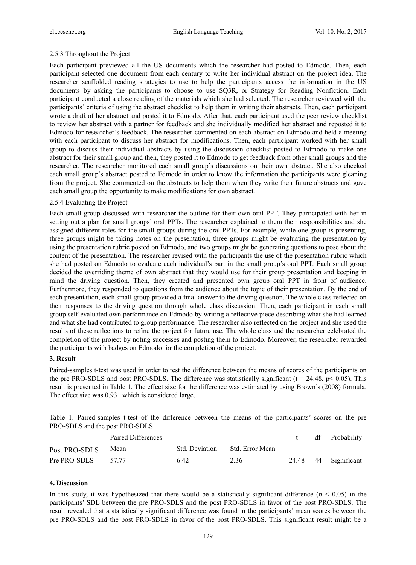### 2.5.3 Throughout the Project

Each participant previewed all the US documents which the researcher had posted to Edmodo. Then, each participant selected one document from each century to write her individual abstract on the project idea. The researcher scaffolded reading strategies to use to help the participants access the information in the US documents by asking the participants to choose to use SQ3R, or Strategy for Reading Nonfiction. Each participant conducted a close reading of the materials which she had selected. The researcher reviewed with the participants' criteria of using the abstract checklist to help them in writing their abstracts. Then, each participant wrote a draft of her abstract and posted it to Edmodo. After that, each participant used the peer review checklist to review her abstract with a partner for feedback and she individually modified her abstract and reposted it to Edmodo for researcher's feedback. The researcher commented on each abstract on Edmodo and held a meeting with each participant to discuss her abstract for modifications. Then, each participant worked with her small group to discuss their individual abstracts by using the discussion checklist posted to Edmodo to make one abstract for their small group and then, they posted it to Edmodo to get feedback from other small groups and the researcher. The researcher monitored each small group's discussions on their own abstract. She also checked each small group's abstract posted to Edmodo in order to know the information the participants were gleaning from the project. She commented on the abstracts to help them when they write their future abstracts and gave each small group the opportunity to make modifications for own abstract.

### 2.5.4 Evaluating the Project

Each small group discussed with researcher the outline for their own oral PPT. They participated with her in setting out a plan for small groups' oral PPTs. The researcher explained to them their responsibilities and she assigned different roles for the small groups during the oral PPTs. For example, while one group is presenting, three groups might be taking notes on the presentation, three groups might be evaluating the presentation by using the presentation rubric posted on Edmodo, and two groups might be generating questions to pose about the content of the presentation. The researcher revised with the participants the use of the presentation rubric which she had posted on Edmodo to evaluate each individual's part in the small group's oral PPT. Each small group decided the overriding theme of own abstract that they would use for their group presentation and keeping in mind the driving question. Then, they created and presented own group oral PPT in front of audience. Furthermore, they responded to questions from the audience about the topic of their presentation. By the end of each presentation, each small group provided a final answer to the driving question. The whole class reflected on their responses to the driving question through whole class discussion. Then, each participant in each small group self-evaluated own performance on Edmodo by writing a reflective piece describing what she had learned and what she had contributed to group performance. The researcher also reflected on the project and she used the results of these reflections to refine the project for future use. The whole class and the researcher celebrated the completion of the project by noting successes and posting them to Edmodo. Moreover, the researcher rewarded the participants with badges on Edmodo for the completion of the project.

### **3. Result**

Paired-samples t-test was used in order to test the difference between the means of scores of the participants on the pre PRO-SDLS and post PRO-SDLS. The difference was statistically significant ( $t = 24.48$ ,  $p < 0.05$ ). This result is presented in Table 1. The effect size for the difference was estimated by using Brown's (2008) formula. The effect size was 0.931 which is considered large.

Table 1. Paired-samples t-test of the difference between the means of the participants' scores on the pre PRO-SDLS and the post PRO-SDLS

|               | Paired Differences |                |                 |       | df | Probability    |
|---------------|--------------------|----------------|-----------------|-------|----|----------------|
| Post PRO-SDLS | Mean               | Std. Deviation | Std. Error Mean |       |    |                |
| Pre PRO-SDLS  | 57 77              | 6.42           | 2.36            | 24.48 |    | 44 Significant |

# **4. Discussion**

In this study, it was hypothesized that there would be a statistically significant difference ( $\alpha$  < 0.05) in the participants' SDL between the pre PRO-SDLS and the post PRO-SDLS in favor of the post PRO-SDLS. The result revealed that a statistically significant difference was found in the participants' mean scores between the pre PRO-SDLS and the post PRO-SDLS in favor of the post PRO-SDLS. This significant result might be a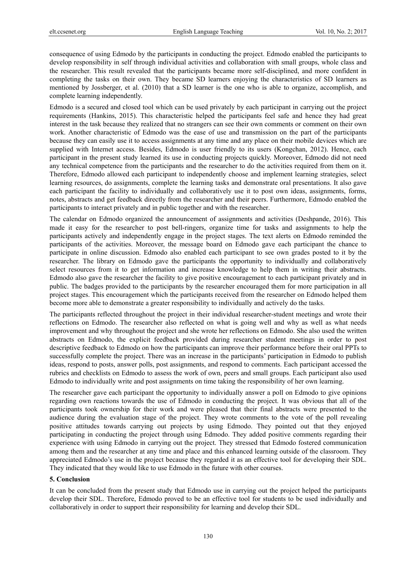consequence of using Edmodo by the participants in conducting the project. Edmodo enabled the participants to develop responsibility in self through individual activities and collaboration with small groups, whole class and the researcher. This result revealed that the participants became more self-disciplined, and more confident in completing the tasks on their own. They became SD learners enjoying the characteristics of SD learners as mentioned by Jossberger, et al. (2010) that a SD learner is the one who is able to organize, accomplish, and complete learning independently.

Edmodo is a secured and closed tool which can be used privately by each participant in carrying out the project requirements (Hankins, 2015). This characteristic helped the participants feel safe and hence they had great interest in the task because they realized that no strangers can see their own comments or comment on their own work. Another characteristic of Edmodo was the ease of use and transmission on the part of the participants because they can easily use it to access assignments at any time and any place on their mobile devices which are supplied with Internet access. Besides, Edmodo is user friendly to its users (Kongchan, 2012). Hence, each participant in the present study learned its use in conducting projects quickly. Moreover, Edmodo did not need any technical competence from the participants and the researcher to do the activities required from them on it. Therefore, Edmodo allowed each participant to independently choose and implement learning strategies, select learning resources, do assignments, complete the learning tasks and demonstrate oral presentations. It also gave each participant the facility to individually and collaboratively use it to post own ideas, assignments, forms, notes, abstracts and get feedback directly from the researcher and their peers. Furthermore, Edmodo enabled the participants to interact privately and in public together and with the researcher.

The calendar on Edmodo organized the announcement of assignments and activities (Deshpande, 2016). This made it easy for the researcher to post bell-ringers, organize time for tasks and assignments to help the participants actively and independently engage in the project stages. The text alerts on Edmodo reminded the participants of the activities. Moreover, the message board on Edmodo gave each participant the chance to participate in online discussion. Edmodo also enabled each participant to see own grades posted to it by the researcher. The library on Edmodo gave the participants the opportunity to individually and collaboratively select resources from it to get information and increase knowledge to help them in writing their abstracts. Edmodo also gave the researcher the facility to give positive encouragement to each participant privately and in public. The badges provided to the participants by the researcher encouraged them for more participation in all project stages. This encouragement which the participants received from the researcher on Edmodo helped them become more able to demonstrate a greater responsibility to individually and actively do the tasks.

The participants reflected throughout the project in their individual researcher-student meetings and wrote their reflections on Edmodo. The researcher also reflected on what is going well and why as well as what needs improvement and why throughout the project and she wrote her reflections on Edmodo. She also used the written abstracts on Edmodo, the explicit feedback provided during researcher student meetings in order to post descriptive feedback to Edmodo on how the participants can improve their performance before their oral PPTs to successfully complete the project. There was an increase in the participants' participation in Edmodo to publish ideas, respond to posts, answer polls, post assignments, and respond to comments. Each participant accessed the rubrics and checklists on Edmodo to assess the work of own, peers and small groups. Each participant also used Edmodo to individually write and post assignments on time taking the responsibility of her own learning.

The researcher gave each participant the opportunity to individually answer a poll on Edmodo to give opinions regarding own reactions towards the use of Edmodo in conducting the project. It was obvious that all of the participants took ownership for their work and were pleased that their final abstracts were presented to the audience during the evaluation stage of the project. They wrote comments to the vote of the poll revealing positive attitudes towards carrying out projects by using Edmodo. They pointed out that they enjoyed participating in conducting the project through using Edmodo. They added positive comments regarding their experience with using Edmodo in carrying out the project. They stressed that Edmodo fostered communication among them and the researcher at any time and place and this enhanced learning outside of the classroom. They appreciated Edmodo's use in the project because they regarded it as an effective tool for developing their SDL. They indicated that they would like to use Edmodo in the future with other courses.

### **5. Conclusion**

It can be concluded from the present study that Edmodo use in carrying out the project helped the participants develop their SDL. Therefore, Edmodo proved to be an effective tool for students to be used individually and collaboratively in order to support their responsibility for learning and develop their SDL.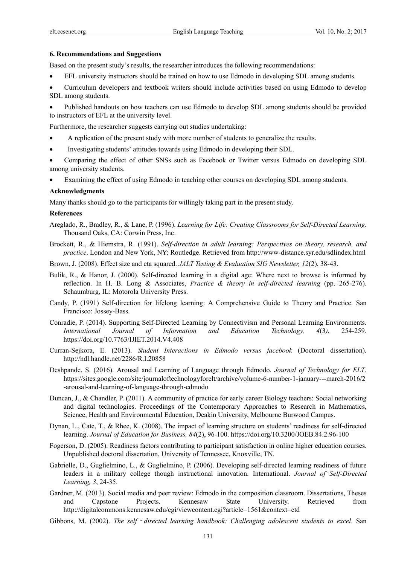#### **6. Recommendations and Suggestions**

Based on the present study's results, the researcher introduces the following recommendations:

EFL university instructors should be trained on how to use Edmodo in developing SDL among students.

 Curriculum developers and textbook writers should include activities based on using Edmodo to develop SDL among students.

 Published handouts on how teachers can use Edmodo to develop SDL among students should be provided to instructors of EFL at the university level.

Furthermore, the researcher suggests carrying out studies undertaking:

- A replication of the present study with more number of students to generalize the results.
- Investigating students' attitudes towards using Edmodo in developing their SDL.
- Comparing the effect of other SNSs such as Facebook or Twitter versus Edmodo on developing SDL among university students.
- Examining the effect of using Edmodo in teaching other courses on developing SDL among students.

#### **Acknowledgments**

Many thanks should go to the participants for willingly taking part in the present study.

#### **References**

- Areglado, R., Bradley, R., & Lane, P. (1996). *Learning for Life: Creating Classrooms for Self-Directed Learning*. Thousand Oaks, CA: Corwin Press, Inc.
- Brockett, R., & Hiemstra, R. (1991). *Self-direction in adult learning: Perspectives on theory, research, and practice*. London and New York, NY: Routledge. Retrieved from http://www-distance.syr.edu/sdlindex.html
- Brown, J. (2008). Effect size and eta squared. *JALT Testing & Evaluation SIG Newsletter, 12*(2), 38-43.
- Bulik, R., & Hanor, J. (2000). Self-directed learning in a digital age: Where next to browse is informed by reflection. In H. B. Long & Associates, *Practice & theory in self-directed learning* (pp. 265-276). Schaumburg, IL: Motorola University Press.
- Candy, P. (1991) Self-direction for lifelong learning: A Comprehensive Guide to Theory and Practice. San Francisco: Jossey-Bass.
- Conradie, P. (2014). Supporting Self-Directed Learning by Connectivism and Personal Learning Environments. *International Journal of Information and Education Technology, 4*(3*)*, 254-259. https://doi.org/10.7763/IJIET.2014.V4.408
- Curran-Sejkora, E. (2013). *Student Interactions in Edmodo versus facebook* (Doctoral dissertation). http://hdl.handle.net/2286/R.I.20858
- Deshpande, S. (2016). Arousal and Learning of Language through Edmodo. *Journal of Technology for ELT*. https://sites.google.com/site/journaloftechnologyforelt/archive/volume-6-number-1-january---march-2016/2 -arousal-and-learning-of-language-through-edmodo
- Duncan, J., & Chandler, P. (2011). A community of practice for early career Biology teachers: Social networking and digital technologies. Proceedings of the Contemporary Approaches to Research in Mathematics, Science, Health and Environmental Education, Deakin University, Melbourne Burwood Campus.
- Dynan, L., Cate, T., & Rhee, K. (2008). The impact of learning structure on students' readiness for self-directed learning. *Journal of Education for Business, 84*(2), 96-100. https://doi.org/10.3200/JOEB.84.2.96-100
- Fogerson, D. (2005). Readiness factors contributing to participant satisfaction in online higher education courses. Unpublished doctoral dissertation, University of Tennessee, Knoxville, TN.
- Gabrielle, D., Guglielmino, L., & Guglielmino, P. (2006). Developing self-directed learning readiness of future leaders in a military college though instructional innovation. International. *Journal of Self-Directed Learning, 3*, 24-35.
- Gardner, M. (2013). Social media and peer review: Edmodo in the composition classroom. Dissertations, Theses and Capstone Projects. Kennesaw State University. Retrieved from http://digitalcommons.kennesaw.edu/cgi/viewcontent.cgi?article=1561&context=etd
- Gibbons, M. (2002). *The self*‐*directed learning handbook: Challenging adolescent students to excel*. San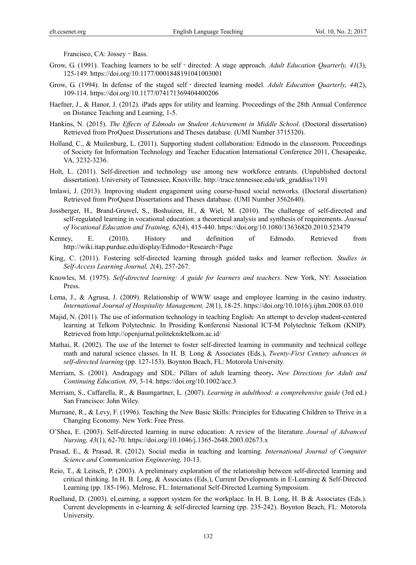Francisco, CA: Jossey‐Bass.

- Grow, G. (1991). Teaching learners to be self directed: A stage approach. *Adult Education Quarterly, 41*(3), 125-149. https://doi.org/10.1177/0001848191041003001
- Grow, G. (1994). In defense of the staged self‐directed learning model. *Adult Education Quarterly, 44*(2), 109-114. https://doi.org/10.1177/074171369404400206
- Haefner, J., & Hanor, J. (2012). iPads apps for utility and learning. Proceedings of the 28th Annual Conference on Distance Teaching and Learning, 1-5.
- Hankins, N. (2015). *The Effects of Edmodo on Student Achievement in Middle School*. (Doctoral dissertation) Retrieved from ProQuest Dissertations and Theses database. (UMI Number 3715320).
- Holland, C., & Muilenburg, L. (2011). Supporting student collaboration: Edmodo in the classroom. Proceedings of Society for Information Technology and Teacher Education International Conference 2011, Chesapeake, VA, 3232-3236.
- Holt, L. (2011). Self-direction and technology use among new workforce entrants. (Unpublished doctoral dissertation). University of Tennessee, Knoxville. http://trace.tennessee.edu/utk\_graddiss/1191
- Imlawi, J. (2013). Improving student engagement using course-based social networks. (Doctoral dissertation) Retrieved from ProQuest Dissertations and Theses database. (UMI Number 3562640).
- Jossberger, H., Brand-Gruwel, S., Boshuizen, H., & Wiel, M. (2010). The challenge of self-directed and self-regulated learning in vocational education: a theoretical analysis and synthesis of requirements. *Journal of Vocational Education and Training, 62*(4), 415-440. https://doi.org/10.1080/13636820.2010.523479
- Kenney, E. (2010). History and definition of Edmodo. Retrieved from http://wiki.itap.purdue.edu/display/Edmodo+Research+Page
- King, C. (2011). Fostering self-directed learning through guided tasks and learner reflection. *Studies in Self-Access Learning Journal, 2*(4), 257-267.
- Knowles, M. (1975). *Self-directed learning: A guide for learners and teachers*. New York, NY: Association Press.
- Lema, J., & Agrusa, J. (2009). Relationship of WWW usage and employee learning in the casino industry. *International Journal of Hospitality Management, 28*(1), 18-25. https://doi.org/10.1016/j.ijhm.2008.03.010
- Majid, N. (2011). The use of information technology in teaching English: An attempt to develop student-centered learning at Telkom Polytechnic. In Prosiding Konferensi Nasional ICT-M Polytechnic Telkom (KNIP). Retrieved from http://openjurnal.politekniktelkom.ac.id/
- Mathai, R. (2002). The use of the Internet to foster self-directed learning in community and technical college math and natural science classes. In H. B. Long & Associates (Eds.), *Twenty-First Century advances in self-directed learning* (pp. 127-153). Boynton Beach, FL: Motorola University.
- Merriam, S. (2001). Andragogy and SDL: Pillars of adult learning theory**.** *New Directions for Adult and Continuing Education, 89*, 3-14. https://doi.org/10.1002/ace.3
- Merriam, S., Caffarella, R., & Baumgartner, L. (2007). *Learning in adulthood: a comprehensive guide* (3rd ed.) San Francisco: John Wiley.
- Murnane, R., & Levy, F. (1996). Teaching the New Basic Skills: Principles for Educating Children to Thrive in a Changing Economy. New York: Free Press.
- O'Shea, E. (2003). Self-directed learning in nurse education: A review of the literature. *Journal of Advanced Nursing, 43*(1), 62-70. https://doi.org/10.1046/j.1365-2648.2003.02673.x
- Prasad, E., & Prasad, R. (2012). Social media in teaching and learning. *International Journal of Computer Science and Communication Engineering,* 10-13.
- Reio, T., & Leitsch, P. (2003). A preliminary exploration of the relationship between self-directed learning and critical thinking. In H. B. Long, & Associates (Eds.), Current Developments in E-Learning & Self-Directed Learning (pp. 185-196). Melrose, FL: International Self-Directed Learning Symposium.
- Ruelland, D. (2003). eLearning, a support system for the workplace. In H. B. Long, H. B & Associates (Eds.). Current developments in e-learning & self-directed learning (pp. 235-242). Boynton Beach, FL: Motorola University.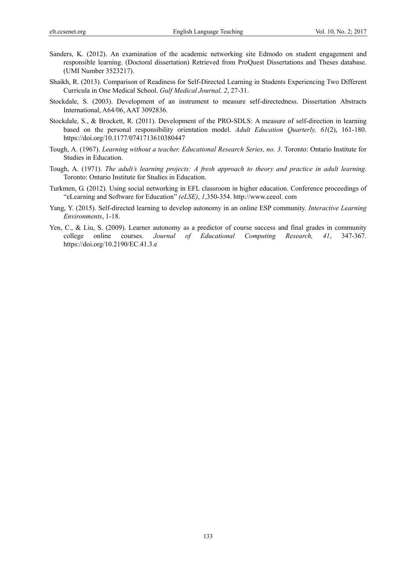- Sanders, K. (2012). An examination of the academic networking site Edmodo on student engagement and responsible learning. (Doctoral dissertation) Retrieved from ProQuest Dissertations and Theses database. (UMI Number 3523217).
- Shaikh, R. (2013). Comparison of Readiness for Self-Directed Learning in Students Experiencing Two Different Curricula in One Medical School. *Gulf Medical Journal, 2*, 27-31.
- Stockdale, S. (2003). Development of an instrument to measure self-directedness. Dissertation Abstracts International, A64/06, AAT 3092836.
- Stockdale, S., & Brockett, R. (2011). Development of the PRO-SDLS: A measure of self-direction in learning based on the personal responsibility orientation model. *Adult Education Quarterly, 61*(2), 161-180. https://doi.org/10.1177/0741713610380447
- Tough, A. (1967). *Learning without a teacher. Educational Research Series, no. 3*. Toronto: Ontario Institute for Studies in Education.
- Tough, A. (1971). *The adult's learning projects: A fresh approach to theory and practice in adult learning*. Toronto: Ontario Institute for Studies in Education.
- Turkmen, G. (2012). Using social networking in EFL classroom in higher education. Conference proceedings of "eLearning and Software for Education" *(eLSE)*, *1*,350-354. http://www.ceeol. com
- Yang, Y. (2015). Self-directed learning to develop autonomy in an online ESP community. *Interactive Learning Environments*, 1-18.
- Yen, C., & Liu, S. (2009). Learner autonomy as a predictor of course success and final grades in community college online courses. *Journal of Educational Computing Research, 41*, 347-367. https://doi.org/10.2190/EC.41.3.e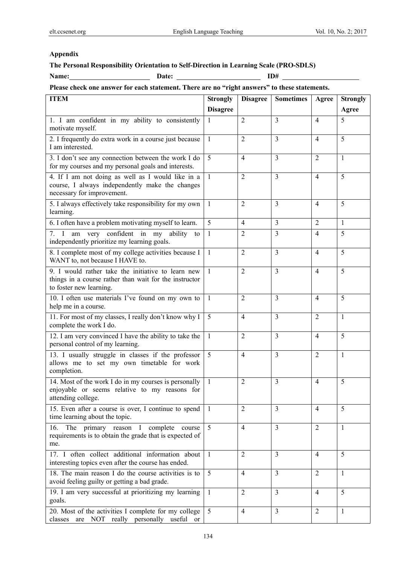### **Appendix**

# **The Personal Responsibility Orientation to Self-Direction in Learning Scale (PRO-SDLS)**

Name: **Date: Date: ID#** 

# **Please check one answer for each statement. There are no "right answers" to these statements.**

| <b>ITEM</b>                                                                                                                             | <b>Strongly</b> | <b>Disagree</b>         | <b>Sometimes</b> | Agree          | <b>Strongly</b> |
|-----------------------------------------------------------------------------------------------------------------------------------------|-----------------|-------------------------|------------------|----------------|-----------------|
|                                                                                                                                         | <b>Disagree</b> |                         |                  |                | Agree           |
| 1. I am confident in my ability to consistently<br>motivate myself.                                                                     | 1               | $\overline{2}$          | 3                | $\overline{4}$ | 5               |
| 2. I frequently do extra work in a course just because<br>I am interested.                                                              | $\mathbf{1}$    | $\overline{2}$          | $\overline{3}$   | $\overline{4}$ | 5               |
| 3. I don't see any connection between the work I do<br>for my courses and my personal goals and interests.                              | 5               | $\overline{4}$          | $\overline{3}$   | $\overline{2}$ | 1               |
| 4. If I am not doing as well as I would like in a<br>course, I always independently make the changes<br>necessary for improvement.      | $\mathbf{1}$    | $\overline{2}$          | $\overline{3}$   | $\overline{4}$ | 5               |
| 5. I always effectively take responsibility for my own<br>learning.                                                                     | $\mathbf{1}$    | $\overline{2}$          | 3                | $\overline{4}$ | 5               |
| 6. I often have a problem motivating myself to learn.                                                                                   | 5               | $\overline{4}$          | $\overline{3}$   | $\overline{2}$ | 1               |
| am very confident in my<br>ability to<br>$7. \quad I$<br>independently prioritize my learning goals.                                    | $\mathbf{1}$    | $\overline{2}$          | 3                | 4              | 5               |
| 8. I complete most of my college activities because I<br>WANT to, not because I HAVE to.                                                | $\mathbf{1}$    | $\overline{2}$          | $\overline{3}$   | 4              | 5               |
| 9. I would rather take the initiative to learn new<br>things in a course rather than wait for the instructor<br>to foster new learning. | $\mathbf{1}$    | 2                       | 3                | 4              | 5               |
| 10. I often use materials I've found on my own to<br>help me in a course.                                                               | $\mathbf{1}$    | $\overline{2}$          | $\overline{3}$   | $\overline{4}$ | 5               |
| 11. For most of my classes, I really don't know why I<br>complete the work I do.                                                        | 5               | $\overline{4}$          | $\overline{3}$   | $\overline{2}$ | 1               |
| 12. I am very convinced I have the ability to take the<br>personal control of my learning.                                              | $\mathbf{1}$    | $\overline{2}$          | $\overline{3}$   | $\overline{4}$ | 5               |
| 13. I usually struggle in classes if the professor<br>allows me to set my own timetable for work<br>completion.                         | 5               | $\overline{4}$          | $\overline{3}$   | $\overline{2}$ | 1               |
| 14. Most of the work I do in my courses is personally<br>enjoyable or seems relative to my reasons for<br>attending college.            | $\overline{1}$  | $\overline{2}$          | 3                | $\overline{4}$ | 5               |
| 15. Even after a course is over, I continue to spend<br>time learning about the topic.                                                  | $\mathbf{1}$    | $\overline{\mathbf{c}}$ | 3                | 4              | 5               |
| The primary reason I complete<br>course<br>16.<br>requirements is to obtain the grade that is expected of<br>me.                        | $\overline{5}$  | $\overline{4}$          | $\overline{3}$   | $\overline{2}$ | $\mathbf{1}$    |
| 17. I often collect additional information about<br>interesting topics even after the course has ended.                                 | $\mathbf{1}$    | $\overline{2}$          | $\overline{3}$   | $\overline{4}$ | 5               |
| 18. The main reason I do the course activities is to<br>avoid feeling guilty or getting a bad grade.                                    | 5               | $\overline{4}$          | $\overline{3}$   | $\overline{2}$ | $\mathbf{1}$    |
| 19. I am very successful at prioritizing my learning<br>goals.                                                                          | $\mathbf{1}$    | $\overline{2}$          | $\overline{3}$   | $\overline{4}$ | 5               |
| 20. Most of the activities I complete for my college<br>are NOT really personally useful or<br>classes                                  | 5               | $\overline{4}$          | $\overline{3}$   | $\overline{2}$ | $\mathbf{1}$    |